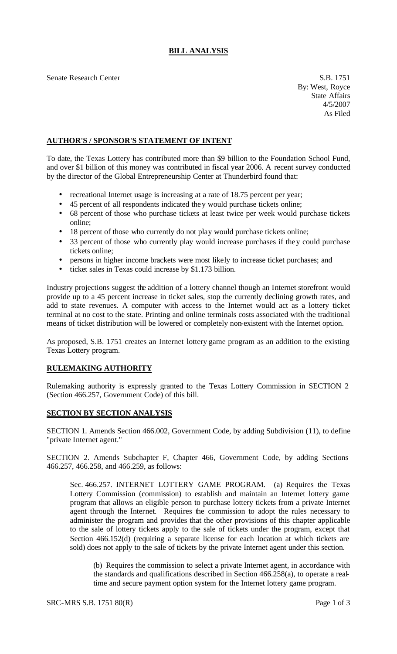## **BILL ANALYSIS**

Senate Research Center S.B. 1751

By: West, Royce State Affairs 4/5/2007 As Filed

## **AUTHOR'S / SPONSOR'S STATEMENT OF INTENT**

To date, the Texas Lottery has contributed more than \$9 billion to the Foundation School Fund, and over \$1 billion of this money was contributed in fiscal year 2006. A recent survey conducted by the director of the Global Entrepreneurship Center at Thunderbird found that:

- recreational Internet usage is increasing at a rate of 18.75 percent per year;
- 45 percent of all respondents indicated they would purchase tickets online;
- 68 percent of those who purchase tickets at least twice per week would purchase tickets online;
- 18 percent of those who currently do not play would purchase tickets online;
- 33 percent of those who currently play would increase purchases if they could purchase tickets online;
- persons in higher income brackets were most likely to increase ticket purchases; and
- ticket sales in Texas could increase by \$1.173 billion.

Industry projections suggest the addition of a lottery channel though an Internet storefront would provide up to a 45 percent increase in ticket sales, stop the currently declining growth rates, and add to state revenues. A computer with access to the Internet would act as a lottery ticket terminal at no cost to the state. Printing and online terminals costs associated with the traditional means of ticket distribution will be lowered or completely non-existent with the Internet option.

As proposed, S.B. 1751 creates an Internet lottery game program as an addition to the existing Texas Lottery program.

## **RULEMAKING AUTHORITY**

Rulemaking authority is expressly granted to the Texas Lottery Commission in SECTION 2 (Section 466.257, Government Code) of this bill.

## **SECTION BY SECTION ANALYSIS**

SECTION 1. Amends Section 466.002, Government Code, by adding Subdivision (11), to define "private Internet agent."

SECTION 2. Amends Subchapter F, Chapter 466, Government Code, by adding Sections 466.257, 466.258, and 466.259, as follows:

Sec. 466.257. INTERNET LOTTERY GAME PROGRAM. (a) Requires the Texas Lottery Commission (commission) to establish and maintain an Internet lottery game program that allows an eligible person to purchase lottery tickets from a private Internet agent through the Internet. Requires the commission to adopt the rules necessary to administer the program and provides that the other provisions of this chapter applicable to the sale of lottery tickets apply to the sale of tickets under the program, except that Section 466.152(d) (requiring a separate license for each location at which tickets are sold) does not apply to the sale of tickets by the private Internet agent under this section.

(b) Requires the commission to select a private Internet agent, in accordance with the standards and qualifications described in Section 466.258(a), to operate a realtime and secure payment option system for the Internet lottery game program.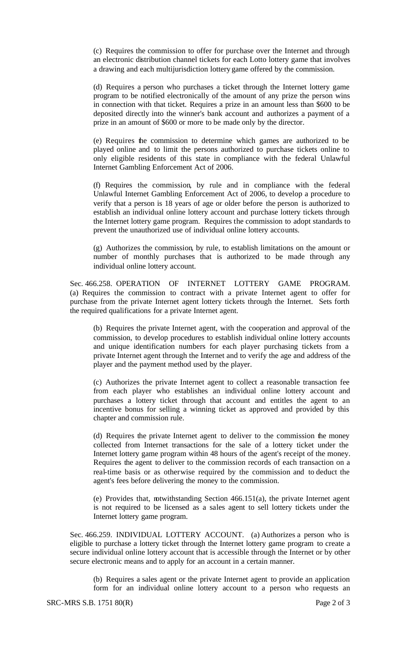(c) Requires the commission to offer for purchase over the Internet and through an electronic distribution channel tickets for each Lotto lottery game that involves a drawing and each multijurisdiction lottery game offered by the commission.

(d) Requires a person who purchases a ticket through the Internet lottery game program to be notified electronically of the amount of any prize the person wins in connection with that ticket. Requires a prize in an amount less than \$600 to be deposited directly into the winner's bank account and authorizes a payment of a prize in an amount of \$600 or more to be made only by the director.

(e) Requires the commission to determine which games are authorized to be played online and to limit the persons authorized to purchase tickets online to only eligible residents of this state in compliance with the federal Unlawful Internet Gambling Enforcement Act of 2006.

(f) Requires the commission, by rule and in compliance with the federal Unlawful Internet Gambling Enforcement Act of 2006, to develop a procedure to verify that a person is 18 years of age or older before the person is authorized to establish an individual online lottery account and purchase lottery tickets through the Internet lottery game program. Requires the commission to adopt standards to prevent the unauthorized use of individual online lottery accounts.

(g) Authorizes the commission, by rule, to establish limitations on the amount or number of monthly purchases that is authorized to be made through any individual online lottery account.

Sec. 466.258. OPERATION OF INTERNET LOTTERY GAME PROGRAM. (a) Requires the commission to contract with a private Internet agent to offer for purchase from the private Internet agent lottery tickets through the Internet. Sets forth the required qualifications for a private Internet agent.

(b) Requires the private Internet agent, with the cooperation and approval of the commission, to develop procedures to establish individual online lottery accounts and unique identification numbers for each player purchasing tickets from a private Internet agent through the Internet and to verify the age and address of the player and the payment method used by the player.

(c) Authorizes the private Internet agent to collect a reasonable transaction fee from each player who establishes an individual online lottery account and purchases a lottery ticket through that account and entitles the agent to an incentive bonus for selling a winning ticket as approved and provided by this chapter and commission rule.

(d) Requires the private Internet agent to deliver to the commission the money collected from Internet transactions for the sale of a lottery ticket under the Internet lottery game program within 48 hours of the agent's receipt of the money. Requires the agent to deliver to the commission records of each transaction on a real-time basis or as otherwise required by the commission and to deduct the agent's fees before delivering the money to the commission.

(e) Provides that, notwithstanding Section 466.151(a), the private Internet agent is not required to be licensed as a sales agent to sell lottery tickets under the Internet lottery game program.

Sec. 466.259. INDIVIDUAL LOTTERY ACCOUNT. (a) Authorizes a person who is eligible to purchase a lottery ticket through the Internet lottery game program to create a secure individual online lottery account that is accessible through the Internet or by other secure electronic means and to apply for an account in a certain manner.

(b) Requires a sales agent or the private Internet agent to provide an application form for an individual online lottery account to a person who requests an